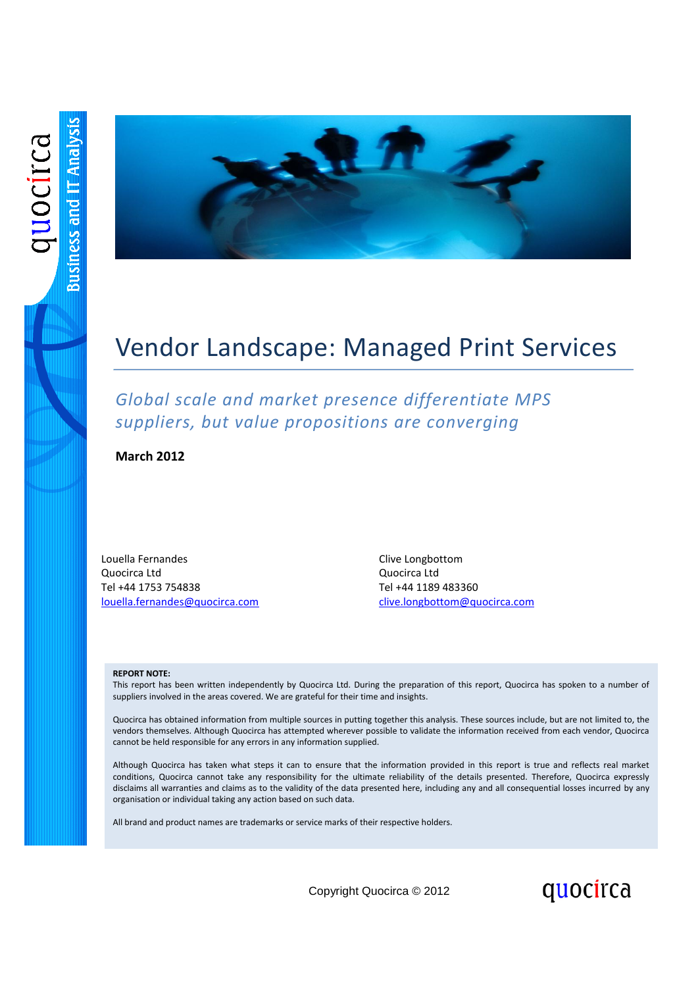

# Vendor Landscape: Managed Print Services

*Global scale and market presence differentiate MPS suppliers, but value propositions are converging*

**March 2012**

Louella Fernandes Quocirca Ltd Tel +44 1753 754838 [louella.fernandes@quocirca.com](mailto:louella.fernandes@quocirca.com) Clive Longbottom Quocirca Ltd Tel +44 1189 483360 [clive.longbottom@quocirca.com](mailto:clive.longbottom@quocirca.com)

quocirca

#### **REPORT NOTE:**

This report has been written independently by Quocirca Ltd. During the preparation of this report, Quocirca has spoken to a number of suppliers involved in the areas covered. We are grateful for their time and insights.

Quocirca has obtained information from multiple sources in putting together this analysis. These sources include, but are not limited to, the vendors themselves. Although Quocirca has attempted wherever possible to validate the information received from each vendor, Quocirca cannot be held responsible for any errors in any information supplied.

Although Quocirca has taken what steps it can to ensure that the information provided in this report is true and reflects real market conditions, Quocirca cannot take any responsibility for the ultimate reliability of the details presented. Therefore, Quocirca expressly disclaims all warranties and claims as to the validity of the data presented here, including any and all consequential losses incurred by any organisation or individual taking any action based on such data.

All brand and product names are trademarks or service marks of their respective holders.

Copyright Quocirca © 2012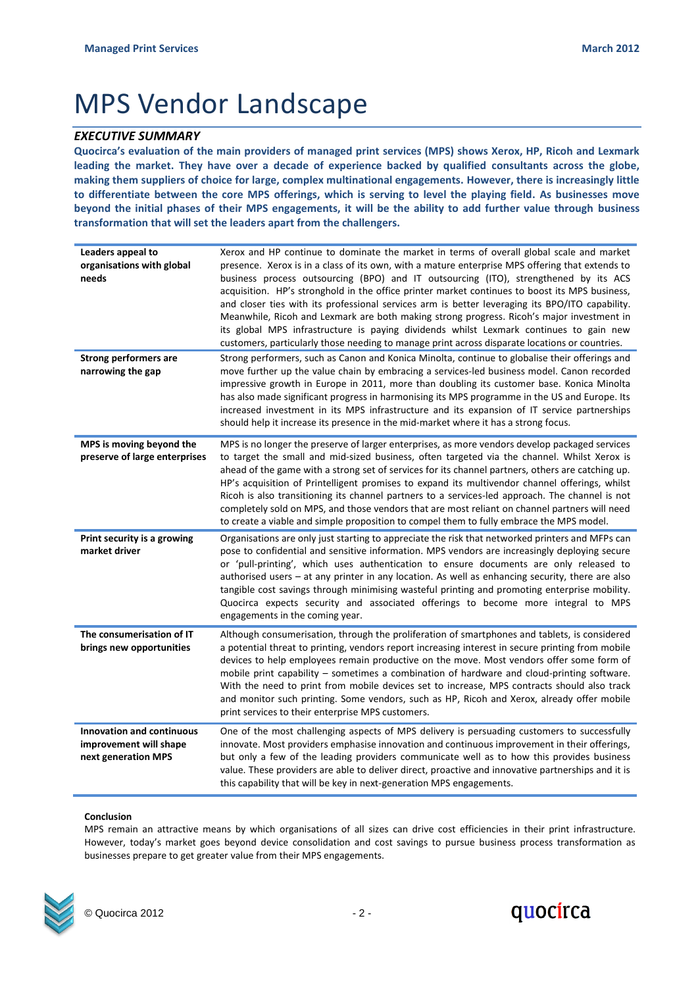# MPS Vendor Landscape

### *EXECUTIVE SUMMARY*

**Quocirca's evaluation of the main providers of managed print services (MPS) shows Xerox, HP, Ricoh and Lexmark leading the market. They have over a decade of experience backed by qualified consultants across the globe, making them suppliers of choice for large, complex multinational engagements. However, there is increasingly little to differentiate between the core MPS offerings, which is serving to level the playing field. As businesses move beyond the initial phases of their MPS engagements, it will be the ability to add further value through business transformation that will set the leaders apart from the challengers.**

| Leaders appeal to<br>organisations with global<br>needs                           | Xerox and HP continue to dominate the market in terms of overall global scale and market<br>presence. Xerox is in a class of its own, with a mature enterprise MPS offering that extends to<br>business process outsourcing (BPO) and IT outsourcing (ITO), strengthened by its ACS<br>acquisition. HP's stronghold in the office printer market continues to boost its MPS business,<br>and closer ties with its professional services arm is better leveraging its BPO/ITO capability.<br>Meanwhile, Ricoh and Lexmark are both making strong progress. Ricoh's major investment in<br>its global MPS infrastructure is paying dividends whilst Lexmark continues to gain new<br>customers, particularly those needing to manage print across disparate locations or countries. |
|-----------------------------------------------------------------------------------|-----------------------------------------------------------------------------------------------------------------------------------------------------------------------------------------------------------------------------------------------------------------------------------------------------------------------------------------------------------------------------------------------------------------------------------------------------------------------------------------------------------------------------------------------------------------------------------------------------------------------------------------------------------------------------------------------------------------------------------------------------------------------------------|
| <b>Strong performers are</b><br>narrowing the gap                                 | Strong performers, such as Canon and Konica Minolta, continue to globalise their offerings and<br>move further up the value chain by embracing a services-led business model. Canon recorded<br>impressive growth in Europe in 2011, more than doubling its customer base. Konica Minolta<br>has also made significant progress in harmonising its MPS programme in the US and Europe. Its<br>increased investment in its MPS infrastructure and its expansion of IT service partnerships<br>should help it increase its presence in the mid-market where it has a strong focus.                                                                                                                                                                                                  |
| MPS is moving beyond the<br>preserve of large enterprises                         | MPS is no longer the preserve of larger enterprises, as more vendors develop packaged services<br>to target the small and mid-sized business, often targeted via the channel. Whilst Xerox is<br>ahead of the game with a strong set of services for its channel partners, others are catching up.<br>HP's acquisition of Printelligent promises to expand its multivendor channel offerings, whilst<br>Ricoh is also transitioning its channel partners to a services-led approach. The channel is not<br>completely sold on MPS, and those vendors that are most reliant on channel partners will need<br>to create a viable and simple proposition to compel them to fully embrace the MPS model.                                                                              |
| Print security is a growing<br>market driver                                      | Organisations are only just starting to appreciate the risk that networked printers and MFPs can<br>pose to confidential and sensitive information. MPS vendors are increasingly deploying secure<br>or 'pull-printing', which uses authentication to ensure documents are only released to<br>authorised users - at any printer in any location. As well as enhancing security, there are also<br>tangible cost savings through minimising wasteful printing and promoting enterprise mobility.<br>Quocirca expects security and associated offerings to become more integral to MPS<br>engagements in the coming year.                                                                                                                                                          |
| The consumerisation of IT<br>brings new opportunities                             | Although consumerisation, through the proliferation of smartphones and tablets, is considered<br>a potential threat to printing, vendors report increasing interest in secure printing from mobile<br>devices to help employees remain productive on the move. Most vendors offer some form of<br>mobile print capability – sometimes a combination of hardware and cloud-printing software.<br>With the need to print from mobile devices set to increase, MPS contracts should also track<br>and monitor such printing. Some vendors, such as HP, Ricoh and Xerox, already offer mobile<br>print services to their enterprise MPS customers.                                                                                                                                    |
| <b>Innovation and continuous</b><br>improvement will shape<br>next generation MPS | One of the most challenging aspects of MPS delivery is persuading customers to successfully<br>innovate. Most providers emphasise innovation and continuous improvement in their offerings,<br>but only a few of the leading providers communicate well as to how this provides business<br>value. These providers are able to deliver direct, proactive and innovative partnerships and it is<br>this capability that will be key in next-generation MPS engagements.                                                                                                                                                                                                                                                                                                            |

### **Conclusion**

MPS remain an attractive means by which organisations of all sizes can drive cost efficiencies in their print infrastructure. However, today's market goes beyond device consolidation and cost savings to pursue business process transformation as businesses prepare to get greater value from their MPS engagements.



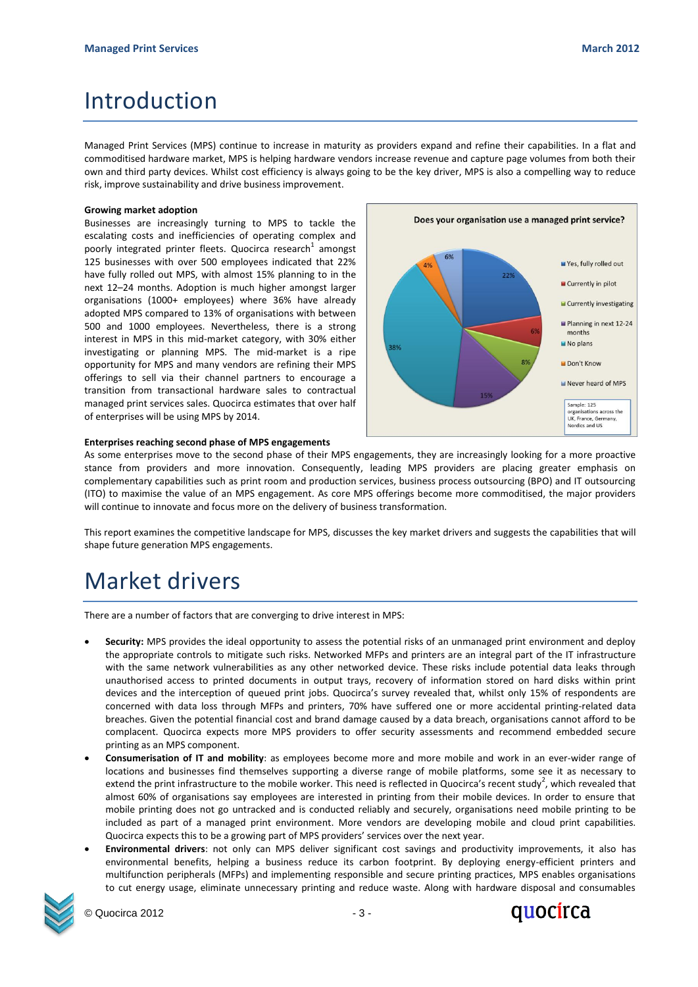# Introduction

Managed Print Services (MPS) continue to increase in maturity as providers expand and refine their capabilities. In a flat and commoditised hardware market, MPS is helping hardware vendors increase revenue and capture page volumes from both their own and third party devices. Whilst cost efficiency is always going to be the key driver, MPS is also a compelling way to reduce risk, improve sustainability and drive business improvement.

### **Growing market adoption**

Businesses are increasingly turning to MPS to tackle the escalating costs and inefficiencies of operating complex and poorly integrated printer fleets. Quocirca research<sup>1</sup> amongst 125 businesses with over 500 employees indicated that 22% have fully rolled out MPS, with almost 15% planning to in the next 12–24 months. Adoption is much higher amongst larger organisations (1000+ employees) where 36% have already adopted MPS compared to 13% of organisations with between 500 and 1000 employees. Nevertheless, there is a strong interest in MPS in this mid-market category, with 30% either investigating or planning MPS. The mid-market is a ripe opportunity for MPS and many vendors are refining their MPS offerings to sell via their channel partners to encourage a transition from transactional hardware sales to contractual managed print services sales. Quocirca estimates that over half of enterprises will be using MPS by 2014.



### **Enterprises reaching second phase of MPS engagements**

As some enterprises move to the second phase of their MPS engagements, they are increasingly looking for a more proactive stance from providers and more innovation. Consequently, leading MPS providers are placing greater emphasis on complementary capabilities such as print room and production services, business process outsourcing (BPO) and IT outsourcing (ITO) to maximise the value of an MPS engagement. As core MPS offerings become more commoditised, the major providers will continue to innovate and focus more on the delivery of business transformation.

This report examines the competitive landscape for MPS, discusses the key market drivers and suggests the capabilities that will shape future generation MPS engagements.

# Market drivers

There are a number of factors that are converging to drive interest in MPS:

- **Security:** MPS provides the ideal opportunity to assess the potential risks of an unmanaged print environment and deploy the appropriate controls to mitigate such risks. Networked MFPs and printers are an integral part of the IT infrastructure with the same network vulnerabilities as any other networked device. These risks include potential data leaks through unauthorised access to printed documents in output trays, recovery of information stored on hard disks within print devices and the interception of queued print jobs. Quocirca's survey revealed that, whilst only 15% of respondents are concerned with data loss through MFPs and printers, 70% have suffered one or more accidental printing-related data breaches. Given the potential financial cost and brand damage caused by a data breach, organisations cannot afford to be complacent. Quocirca expects more MPS providers to offer security assessments and recommend embedded secure printing as an MPS component.
- **Consumerisation of IT and mobility**: as employees become more and more mobile and work in an ever-wider range of locations and businesses find themselves supporting a diverse range of mobile platforms, some see it as necessary to extend the print infrastructure to the mobile worker. This need is reflected in Quocirca's recent study<sup>2</sup>, which revealed that almost 60% of organisations say employees are interested in printing from their mobile devices. In order to ensure that mobile printing does not go untracked and is conducted reliably and securely, organisations need mobile printing to be included as part of a managed print environment. More vendors are developing mobile and cloud print capabilities. Quocirca expects this to be a growing part of MPS providers' services over the next year.
- **Environmental drivers**: not only can MPS deliver significant cost savings and productivity improvements, it also has environmental benefits, helping a business reduce its carbon footprint. By deploying energy-efficient printers and multifunction peripherals (MFPs) and implementing responsible and secure printing practices, MPS enables organisations to cut energy usage, eliminate unnecessary printing and reduce waste. Along with hardware disposal and consumables



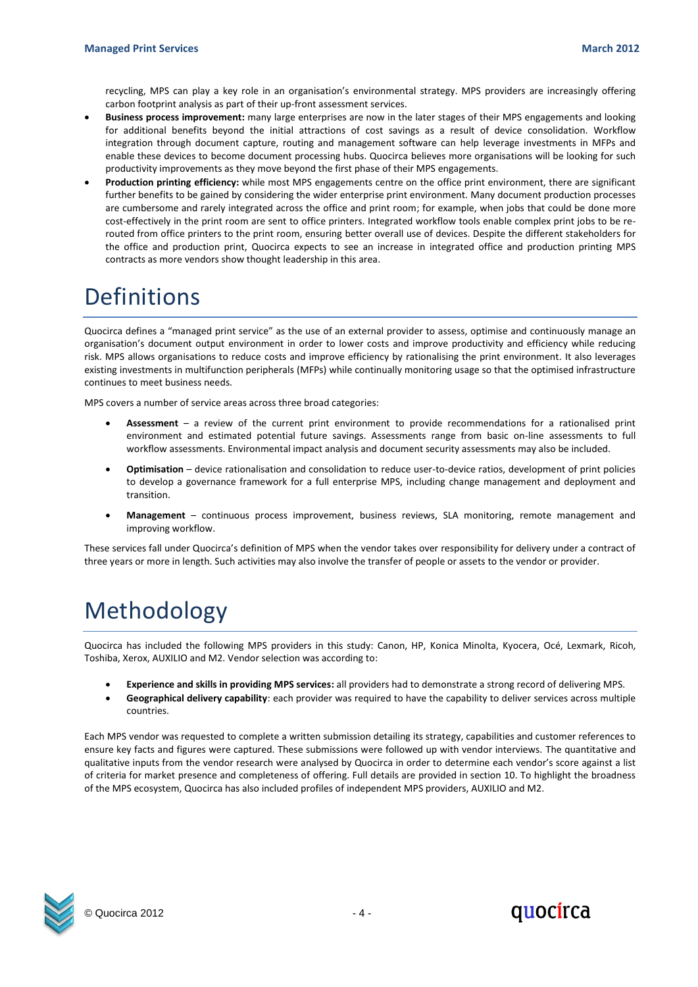recycling, MPS can play a key role in an organisation's environmental strategy. MPS providers are increasingly offering carbon footprint analysis as part of their up-front assessment services.

- **Business process improvement:** many large enterprises are now in the later stages of their MPS engagements and looking for additional benefits beyond the initial attractions of cost savings as a result of device consolidation. Workflow integration through document capture, routing and management software can help leverage investments in MFPs and enable these devices to become document processing hubs. Quocirca believes more organisations will be looking for such productivity improvements as they move beyond the first phase of their MPS engagements.
- **Production printing efficiency:** while most MPS engagements centre on the office print environment, there are significant further benefits to be gained by considering the wider enterprise print environment. Many document production processes are cumbersome and rarely integrated across the office and print room; for example, when jobs that could be done more cost-effectively in the print room are sent to office printers. Integrated workflow tools enable complex print jobs to be rerouted from office printers to the print room, ensuring better overall use of devices. Despite the different stakeholders for the office and production print, Quocirca expects to see an increase in integrated office and production printing MPS contracts as more vendors show thought leadership in this area.

## Definitions

Quocirca defines a "managed print service" as the use of an external provider to assess, optimise and continuously manage an organisation's document output environment in order to lower costs and improve productivity and efficiency while reducing risk. MPS allows organisations to reduce costs and improve efficiency by rationalising the print environment. It also leverages existing investments in multifunction peripherals (MFPs) while continually monitoring usage so that the optimised infrastructure continues to meet business needs.

MPS covers a number of service areas across three broad categories:

- **Assessment** a review of the current print environment to provide recommendations for a rationalised print environment and estimated potential future savings. Assessments range from basic on-line assessments to full workflow assessments. Environmental impact analysis and document security assessments may also be included.
- **Optimisation** device rationalisation and consolidation to reduce user-to-device ratios, development of print policies to develop a governance framework for a full enterprise MPS, including change management and deployment and transition.
- **Management**  continuous process improvement, business reviews, SLA monitoring, remote management and improving workflow.

These services fall under Quocirca's definition of MPS when the vendor takes over responsibility for delivery under a contract of three years or more in length. Such activities may also involve the transfer of people or assets to the vendor or provider.

# Methodology

Quocirca has included the following MPS providers in this study: Canon, HP, Konica Minolta, Kyocera, Océ, Lexmark, Ricoh, Toshiba, Xerox, AUXILIO and M2. Vendor selection was according to:

- **Experience and skills in providing MPS services:** all providers had to demonstrate a strong record of delivering MPS.
- **Geographical delivery capability**: each provider was required to have the capability to deliver services across multiple countries.

Each MPS vendor was requested to complete a written submission detailing its strategy, capabilities and customer references to ensure key facts and figures were captured. These submissions were followed up with vendor interviews. The quantitative and qualitative inputs from the vendor research were analysed by Quocirca in order to determine each vendor's score against a list of criteria for market presence and completeness of offering. Full details are provided in section 10. To highlight the broadness of the MPS ecosystem, Quocirca has also included profiles of independent MPS providers, AUXILIO and M2.



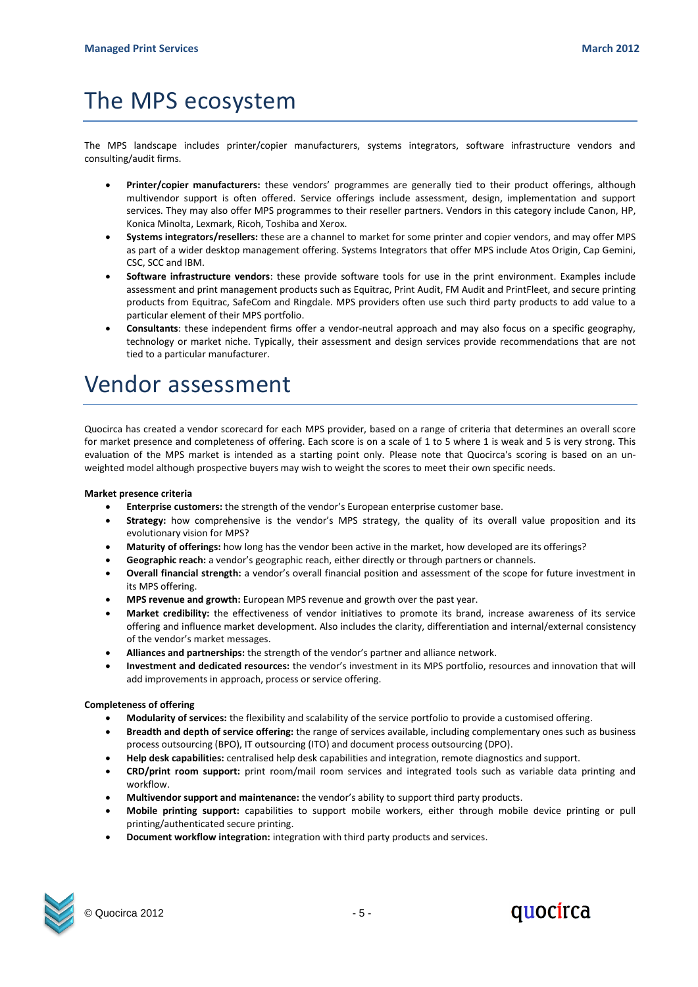# The MPS ecosystem

The MPS landscape includes printer/copier manufacturers, systems integrators, software infrastructure vendors and consulting/audit firms.

- **Printer/copier manufacturers:** these vendors' programmes are generally tied to their product offerings, although multivendor support is often offered. Service offerings include assessment, design, implementation and support services. They may also offer MPS programmes to their reseller partners. Vendors in this category include Canon, HP, Konica Minolta, Lexmark, Ricoh, Toshiba and Xerox.
- **Systems integrators/resellers:** these are a channel to market for some printer and copier vendors, and may offer MPS as part of a wider desktop management offering. Systems Integrators that offer MPS include Atos Origin, Cap Gemini, CSC, SCC and IBM.
- **Software infrastructure vendors**: these provide software tools for use in the print environment. Examples include assessment and print management products such as Equitrac, Print Audit, FM Audit and PrintFleet, and secure printing products from Equitrac, SafeCom and Ringdale. MPS providers often use such third party products to add value to a particular element of their MPS portfolio.
- **Consultants**: these independent firms offer a vendor-neutral approach and may also focus on a specific geography, technology or market niche. Typically, their assessment and design services provide recommendations that are not tied to a particular manufacturer.

## Vendor assessment

Quocirca has created a vendor scorecard for each MPS provider, based on a range of criteria that determines an overall score for market presence and completeness of offering. Each score is on a scale of 1 to 5 where 1 is weak and 5 is very strong. This evaluation of the MPS market is intended as a starting point only. Please note that Quocirca's scoring is based on an unweighted model although prospective buyers may wish to weight the scores to meet their own specific needs.

### **Market presence criteria**

- **Enterprise customers:** the strength of the vendor's European enterprise customer base.
- **Strategy:** how comprehensive is the vendor's MPS strategy, the quality of its overall value proposition and its evolutionary vision for MPS?
- **Maturity of offerings:** how long has the vendor been active in the market, how developed are its offerings?
- **Geographic reach:** a vendor's geographic reach, either directly or through partners or channels.
- **Overall financial strength:** a vendor's overall financial position and assessment of the scope for future investment in its MPS offering.
- **MPS revenue and growth:** European MPS revenue and growth over the past year.
- **Market credibility:** the effectiveness of vendor initiatives to promote its brand, increase awareness of its service offering and influence market development. Also includes the clarity, differentiation and internal/external consistency of the vendor's market messages.
- **Alliances and partnerships:** the strength of the vendor's partner and alliance network.
- **Investment and dedicated resources:** the vendor's investment in its MPS portfolio, resources and innovation that will add improvements in approach, process or service offering.

### **Completeness of offering**

- **Modularity of services:** the flexibility and scalability of the service portfolio to provide a customised offering.
- **Breadth and depth of service offering:** the range of services available, including complementary ones such as business process outsourcing (BPO), IT outsourcing (ITO) and document process outsourcing (DPO).
- **Help desk capabilities:** centralised help desk capabilities and integration, remote diagnostics and support.
- **CRD/print room support:** print room/mail room services and integrated tools such as variable data printing and workflow.
- **Multivendor support and maintenance:** the vendor's ability to support third party products.
- **Mobile printing support:** capabilities to support mobile workers, either through mobile device printing or pull printing/authenticated secure printing.
- **Document workflow integration:** integration with third party products and services.



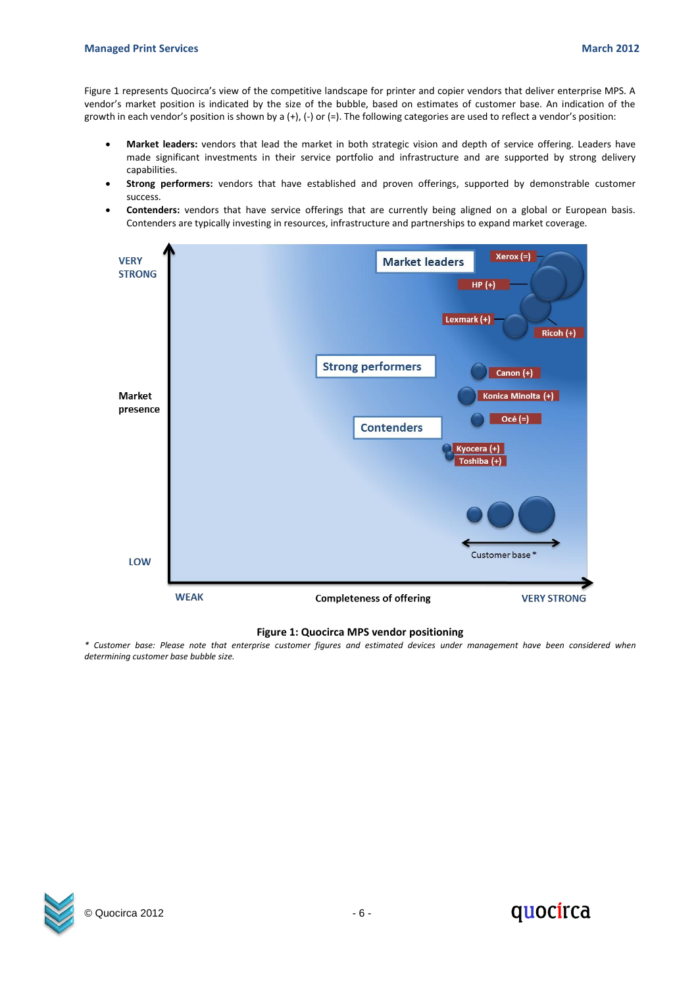Figure 1 represents Quocirca's view of the competitive landscape for printer and copier vendors that deliver enterprise MPS. A vendor's market position is indicated by the size of the bubble, based on estimates of customer base. An indication of the growth in each vendor's position is shown by a (+), (-) or (=). The following categories are used to reflect a vendor's position:

- **Market leaders:** vendors that lead the market in both strategic vision and depth of service offering. Leaders have made significant investments in their service portfolio and infrastructure and are supported by strong delivery capabilities.
- **Strong performers:** vendors that have established and proven offerings, supported by demonstrable customer success.
- **Contenders:** vendors that have service offerings that are currently being aligned on a global or European basis. Contenders are typically investing in resources, infrastructure and partnerships to expand market coverage.



### **Figure 1: Quocirca MPS vendor positioning**

*\* Customer base: Please note that enterprise customer figures and estimated devices under management have been considered when determining customer base bubble size.*



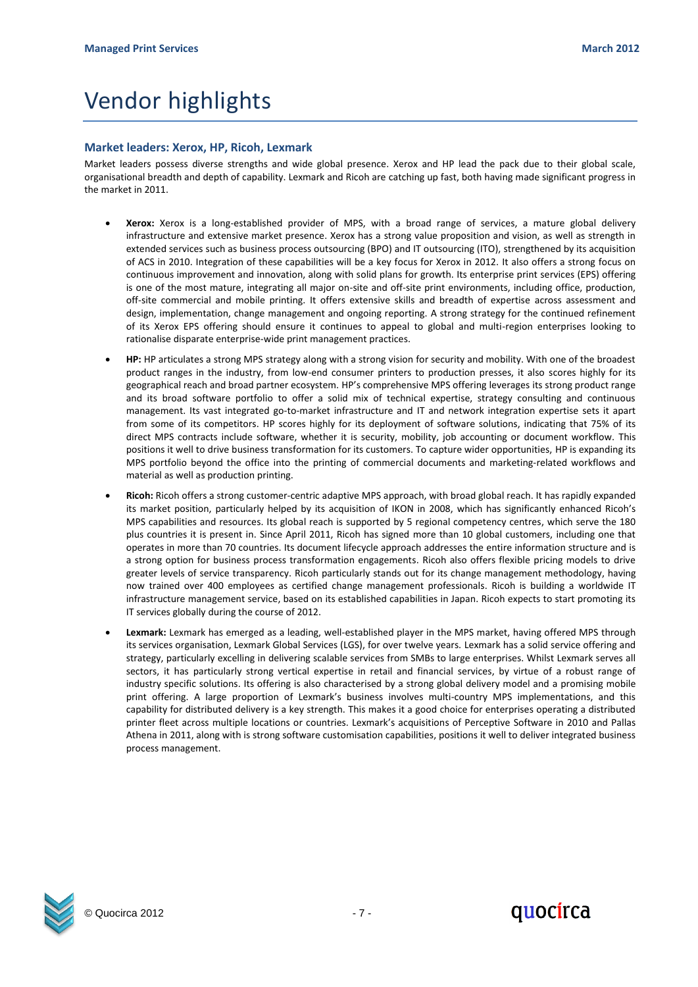# Vendor highlights

### **Market leaders: Xerox, HP, Ricoh, Lexmark**

Market leaders possess diverse strengths and wide global presence. Xerox and HP lead the pack due to their global scale, organisational breadth and depth of capability. Lexmark and Ricoh are catching up fast, both having made significant progress in the market in 2011.

- **Xerox:** Xerox is a long-established provider of MPS, with a broad range of services, a mature global delivery infrastructure and extensive market presence. Xerox has a strong value proposition and vision, as well as strength in extended services such as business process outsourcing (BPO) and IT outsourcing (ITO), strengthened by its acquisition of ACS in 2010. Integration of these capabilities will be a key focus for Xerox in 2012. It also offers a strong focus on continuous improvement and innovation, along with solid plans for growth. Its enterprise print services (EPS) offering is one of the most mature, integrating all major on-site and off-site print environments, including office, production, off-site commercial and mobile printing. It offers extensive skills and breadth of expertise across assessment and design, implementation, change management and ongoing reporting. A strong strategy for the continued refinement of its Xerox EPS offering should ensure it continues to appeal to global and multi-region enterprises looking to rationalise disparate enterprise-wide print management practices.
- **HP:** HP articulates a strong MPS strategy along with a strong vision for security and mobility. With one of the broadest product ranges in the industry, from low-end consumer printers to production presses, it also scores highly for its geographical reach and broad partner ecosystem. HP's comprehensive MPS offering leverages its strong product range and its broad software portfolio to offer a solid mix of technical expertise, strategy consulting and continuous management. Its vast integrated go-to-market infrastructure and IT and network integration expertise sets it apart from some of its competitors. HP scores highly for its deployment of software solutions, indicating that 75% of its direct MPS contracts include software, whether it is security, mobility, job accounting or document workflow. This positions it well to drive business transformation for its customers. To capture wider opportunities, HP is expanding its MPS portfolio beyond the office into the printing of commercial documents and marketing-related workflows and material as well as production printing.
- **Ricoh:** Ricoh offers a strong customer-centric adaptive MPS approach, with broad global reach. It has rapidly expanded its market position, particularly helped by its acquisition of IKON in 2008, which has significantly enhanced Ricoh's MPS capabilities and resources. Its global reach is supported by 5 regional competency centres, which serve the 180 plus countries it is present in. Since April 2011, Ricoh has signed more than 10 global customers, including one that operates in more than 70 countries. Its document lifecycle approach addresses the entire information structure and is a strong option for business process transformation engagements. Ricoh also offers flexible pricing models to drive greater levels of service transparency. Ricoh particularly stands out for its change management methodology, having now trained over 400 employees as certified change management professionals. Ricoh is building a worldwide IT infrastructure management service, based on its established capabilities in Japan. Ricoh expects to start promoting its IT services globally during the course of 2012.
- **Lexmark:** Lexmark has emerged as a leading, well-established player in the MPS market, having offered MPS through its services organisation, Lexmark Global Services (LGS), for over twelve years. Lexmark has a solid service offering and strategy, particularly excelling in delivering scalable services from SMBs to large enterprises. Whilst Lexmark serves all sectors, it has particularly strong vertical expertise in retail and financial services, by virtue of a robust range of industry specific solutions. Its offering is also characterised by a strong global delivery model and a promising mobile print offering. A large proportion of Lexmark's business involves multi-country MPS implementations, and this capability for distributed delivery is a key strength. This makes it a good choice for enterprises operating a distributed printer fleet across multiple locations or countries. Lexmark's acquisitions of Perceptive Software in 2010 and Pallas Athena in 2011, along with is strong software customisation capabilities, positions it well to deliver integrated business process management.



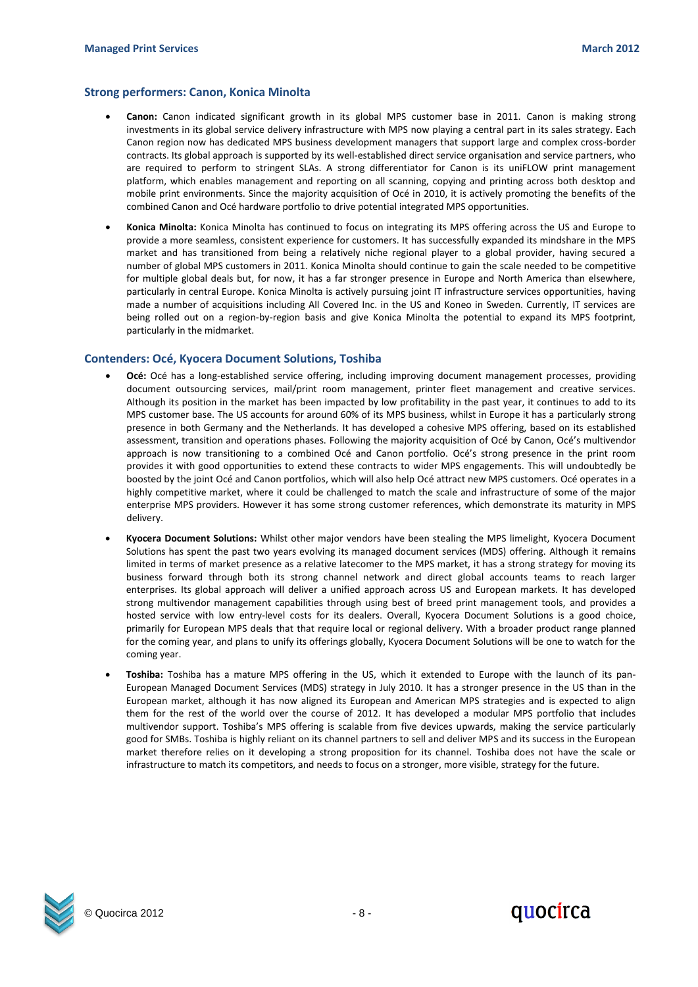### **Strong performers: Canon, Konica Minolta**

- **Canon:** Canon indicated significant growth in its global MPS customer base in 2011. Canon is making strong investments in its global service delivery infrastructure with MPS now playing a central part in its sales strategy. Each Canon region now has dedicated MPS business development managers that support large and complex cross-border contracts. Its global approach is supported by its well-established direct service organisation and service partners, who are required to perform to stringent SLAs. A strong differentiator for Canon is its uniFLOW print management platform, which enables management and reporting on all scanning, copying and printing across both desktop and mobile print environments. Since the majority acquisition of Océ in 2010, it is actively promoting the benefits of the combined Canon and Océ hardware portfolio to drive potential integrated MPS opportunities.
- **Konica Minolta:** Konica Minolta has continued to focus on integrating its MPS offering across the US and Europe to provide a more seamless, consistent experience for customers. It has successfully expanded its mindshare in the MPS market and has transitioned from being a relatively niche regional player to a global provider, having secured a number of global MPS customers in 2011. Konica Minolta should continue to gain the scale needed to be competitive for multiple global deals but, for now, it has a far stronger presence in Europe and North America than elsewhere, particularly in central Europe. Konica Minolta is actively pursuing joint IT infrastructure services opportunities, having made a number of acquisitions including All Covered Inc. in the US and Koneo in Sweden. Currently, IT services are being rolled out on a region-by-region basis and give Konica Minolta the potential to expand its MPS footprint, particularly in the midmarket.

### **Contenders: Océ, Kyocera Document Solutions, Toshiba**

- **Océ:** Océ has a long-established service offering, including improving document management processes, providing document outsourcing services, mail/print room management, printer fleet management and creative services. Although its position in the market has been impacted by low profitability in the past year, it continues to add to its MPS customer base. The US accounts for around 60% of its MPS business, whilst in Europe it has a particularly strong presence in both Germany and the Netherlands. It has developed a cohesive MPS offering, based on its established assessment, transition and operations phases. Following the majority acquisition of Océ by Canon, Océ's multivendor approach is now transitioning to a combined Océ and Canon portfolio. Océ's strong presence in the print room provides it with good opportunities to extend these contracts to wider MPS engagements. This will undoubtedly be boosted by the joint Océ and Canon portfolios, which will also help Océ attract new MPS customers. Océ operates in a highly competitive market, where it could be challenged to match the scale and infrastructure of some of the major enterprise MPS providers. However it has some strong customer references, which demonstrate its maturity in MPS delivery.
- **Kyocera Document Solutions:** Whilst other major vendors have been stealing the MPS limelight, Kyocera Document Solutions has spent the past two years evolving its managed document services (MDS) offering. Although it remains limited in terms of market presence as a relative latecomer to the MPS market, it has a strong strategy for moving its business forward through both its strong channel network and direct global accounts teams to reach larger enterprises. Its global approach will deliver a unified approach across US and European markets. It has developed strong multivendor management capabilities through using best of breed print management tools, and provides a hosted service with low entry-level costs for its dealers. Overall, Kyocera Document Solutions is a good choice, primarily for European MPS deals that that require local or regional delivery. With a broader product range planned for the coming year, and plans to unify its offerings globally, Kyocera Document Solutions will be one to watch for the coming year.
- **Toshiba:** Toshiba has a mature MPS offering in the US, which it extended to Europe with the launch of its pan-European Managed Document Services (MDS) strategy in July 2010. It has a stronger presence in the US than in the European market, although it has now aligned its European and American MPS strategies and is expected to align them for the rest of the world over the course of 2012. It has developed a modular MPS portfolio that includes multivendor support. Toshiba's MPS offering is scalable from five devices upwards, making the service particularly good for SMBs. Toshiba is highly reliant on its channel partners to sell and deliver MPS and its success in the European market therefore relies on it developing a strong proposition for its channel. Toshiba does not have the scale or infrastructure to match its competitors, and needs to focus on a stronger, more visible, strategy for the future.



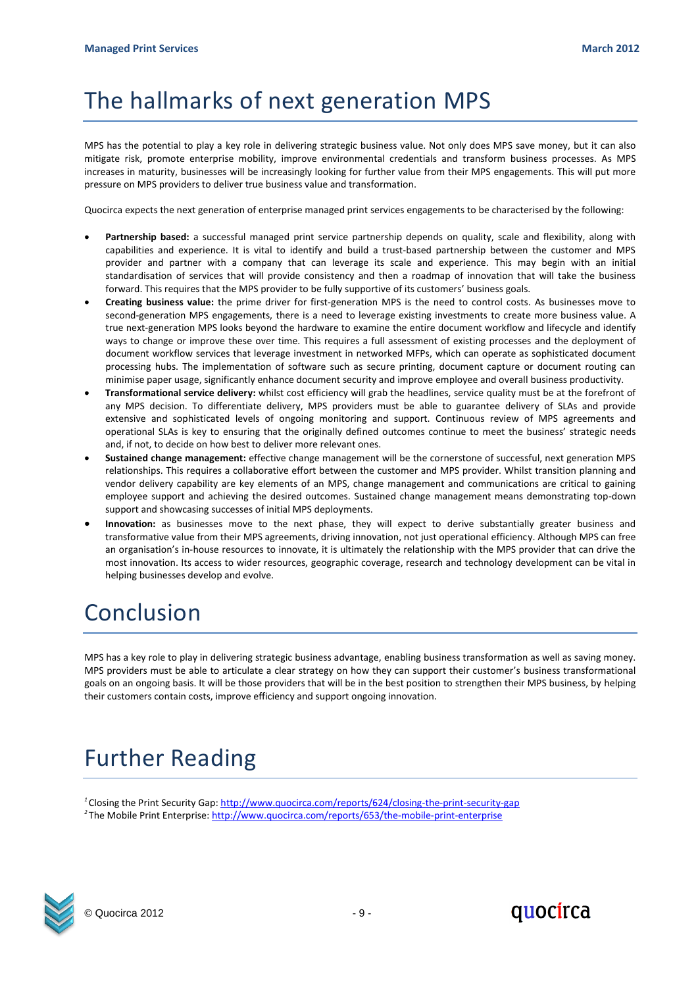# The hallmarks of next generation MPS

MPS has the potential to play a key role in delivering strategic business value. Not only does MPS save money, but it can also mitigate risk, promote enterprise mobility, improve environmental credentials and transform business processes. As MPS increases in maturity, businesses will be increasingly looking for further value from their MPS engagements. This will put more pressure on MPS providers to deliver true business value and transformation.

Quocirca expects the next generation of enterprise managed print services engagements to be characterised by the following:

- Partnership based: a successful managed print service partnership depends on quality, scale and flexibility, along with capabilities and experience. It is vital to identify and build a trust-based partnership between the customer and MPS provider and partner with a company that can leverage its scale and experience. This may begin with an initial standardisation of services that will provide consistency and then a roadmap of innovation that will take the business forward. This requires that the MPS provider to be fully supportive of its customers' business goals.
- **Creating business value:** the prime driver for first-generation MPS is the need to control costs. As businesses move to second-generation MPS engagements, there is a need to leverage existing investments to create more business value. A true next-generation MPS looks beyond the hardware to examine the entire document workflow and lifecycle and identify ways to change or improve these over time. This requires a full assessment of existing processes and the deployment of document workflow services that leverage investment in networked MFPs, which can operate as sophisticated document processing hubs. The implementation of software such as secure printing, document capture or document routing can minimise paper usage, significantly enhance document security and improve employee and overall business productivity.
- **Transformational service delivery:** whilst cost efficiency will grab the headlines, service quality must be at the forefront of any MPS decision. To differentiate delivery, MPS providers must be able to guarantee delivery of SLAs and provide extensive and sophisticated levels of ongoing monitoring and support. Continuous review of MPS agreements and operational SLAs is key to ensuring that the originally defined outcomes continue to meet the business' strategic needs and, if not, to decide on how best to deliver more relevant ones.
- **Sustained change management:** effective change management will be the cornerstone of successful, next generation MPS relationships. This requires a collaborative effort between the customer and MPS provider. Whilst transition planning and vendor delivery capability are key elements of an MPS, change management and communications are critical to gaining employee support and achieving the desired outcomes. Sustained change management means demonstrating top-down support and showcasing successes of initial MPS deployments.
- **Innovation:** as businesses move to the next phase, they will expect to derive substantially greater business and transformative value from their MPS agreements, driving innovation, not just operational efficiency. Although MPS can free an organisation's in-house resources to innovate, it is ultimately the relationship with the MPS provider that can drive the most innovation. Its access to wider resources, geographic coverage, research and technology development can be vital in helping businesses develop and evolve.

# Conclusion

MPS has a key role to play in delivering strategic business advantage, enabling business transformation as well as saving money. MPS providers must be able to articulate a clear strategy on how they can support their customer's business transformational goals on an ongoing basis. It will be those providers that will be in the best position to strengthen their MPS business, by helping their customers contain costs, improve efficiency and support ongoing innovation.

# Further Reading

<sup>1</sup> Closing the Print Security Gap[: http://www.quocirca.com/reports/624/closing-the-print-security-gap](http://www.quocirca.com/reports/624/closing-the-print-security-gap) <sup>2</sup>The Mobile Print Enterprise:<http://www.quocirca.com/reports/653/the-mobile-print-enterprise>



© Quocirca 2012 - 9 -

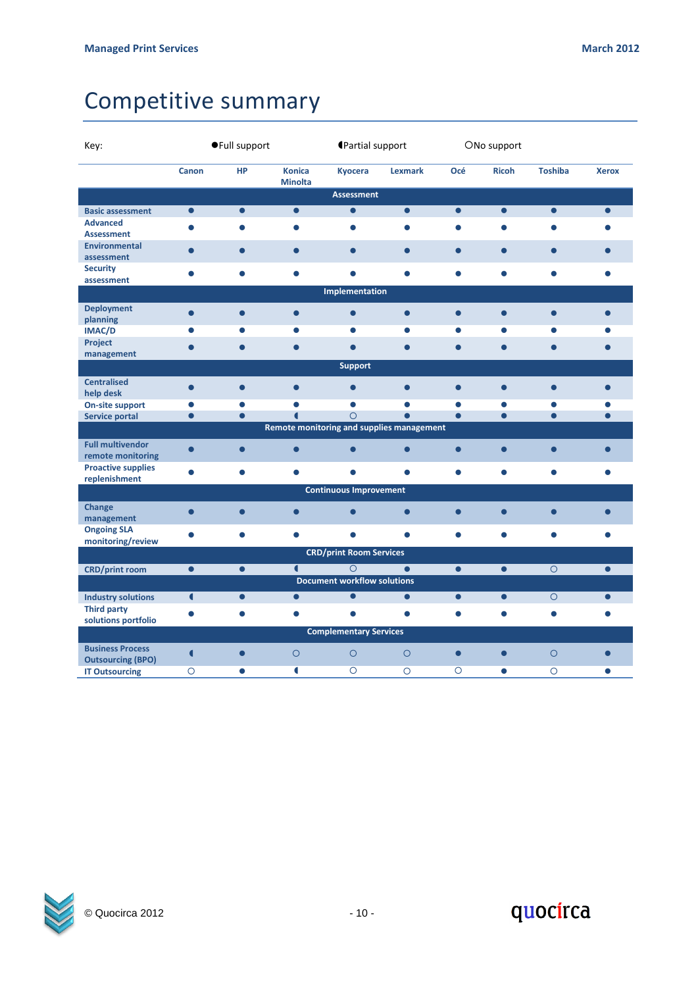# Competitive summary

| Key:                                                |                | ●Full support |                                           |                                               | <b>Partial support</b> |           | ONo support  |                |              |  |
|-----------------------------------------------------|----------------|---------------|-------------------------------------------|-----------------------------------------------|------------------------|-----------|--------------|----------------|--------------|--|
|                                                     | Canon          | <b>HP</b>     | <b>Konica</b><br><b>Minolta</b>           | <b>Kyocera</b>                                | Lexmark                | Océ       | <b>Ricoh</b> | <b>Toshiba</b> | <b>Xerox</b> |  |
|                                                     |                |               |                                           | <b>Assessment</b>                             |                        |           |              |                |              |  |
| <b>Basic assessment</b>                             | $\bullet$      | $\bullet$     | $\bullet$                                 | $\bullet$                                     | $\bullet$              | $\bullet$ | $\bullet$    | $\bullet$      | $\bullet$    |  |
| <b>Advanced</b><br><b>Assessment</b>                | $\bullet$      | $\bullet$     | $\bullet$                                 | $\bullet$                                     | $\bullet$              | $\bullet$ | $\bullet$    | $\bullet$      | $\bullet$    |  |
| <b>Environmental</b><br>assessment                  | $\bullet$      | $\bullet$     | $\bullet$                                 | $\bullet$                                     | $\bullet$              | $\bullet$ | $\bullet$    | $\bullet$      |              |  |
| <b>Security</b><br>assessment                       | $\bullet$      | $\bullet$     | $\bullet$                                 | $\bullet$                                     | $\bullet$              | $\bullet$ | $\bullet$    | $\bullet$      |              |  |
|                                                     |                |               |                                           | Implementation                                |                        |           |              |                |              |  |
| <b>Deployment</b><br>planning                       | $\bullet$      | $\bullet$     | $\bullet$                                 | $\bullet$                                     | $\bullet$              | $\bullet$ | $\bullet$    | $\bullet$      | $\bullet$    |  |
| <b>IMAC/D</b>                                       | ●              | $\bullet$     | $\bullet$                                 | C                                             | $\bullet$              |           | $\bullet$    | $\bullet$      |              |  |
| Project<br>management                               |                | $\bullet$     | $\bullet$                                 | $\bullet$                                     | $\bullet$              |           | $\bullet$    | $\bullet$      | $\bullet$    |  |
|                                                     |                |               |                                           | <b>Support</b>                                |                        |           |              |                |              |  |
| <b>Centralised</b><br>help desk                     | $\bullet$      |               | $\bullet$                                 | $\bullet$                                     | $\bullet$              | $\bullet$ | $\bullet$    | $\bullet$      | $\bullet$    |  |
| On-site support                                     | $\bullet$      | $\bullet$     | $\bullet$                                 | $\bullet$                                     |                        |           | $\bullet$    | $\bullet$      | $\bullet$    |  |
| <b>Service portal</b>                               | $\bullet$      | $\bullet$     | $\blacksquare$                            | $\circ$                                       | $\bullet$              | $\bullet$ | $\bullet$    | $\bullet$      | $\bullet$    |  |
|                                                     |                |               | Remote monitoring and supplies management |                                               |                        |           |              |                |              |  |
| <b>Full multivendor</b><br>remote monitoring        | $\bullet$      | $\bullet$     | $\bullet$                                 | $\bullet$                                     | $\bullet$              | $\bullet$ | $\bullet$    | $\bullet$      | $\bullet$    |  |
| <b>Proactive supplies</b><br>replenishment          | $\bullet$      | $\bullet$     | $\bullet$                                 | $\bullet$                                     | $\bullet$              | $\bullet$ | $\bullet$    | $\bullet$      | $\bullet$    |  |
|                                                     |                |               |                                           | <b>Continuous Improvement</b>                 |                        |           |              |                |              |  |
| Change<br>management                                | $\bullet$      | $\bullet$     | $\bullet$                                 | $\bullet$                                     | $\bullet$              | $\bullet$ | $\bullet$    | $\bullet$      | $\bullet$    |  |
| <b>Ongoing SLA</b><br>monitoring/review             | $\bullet$      | $\bullet$     | $\bullet$                                 | $\bullet$                                     | $\bullet$              | $\bullet$ | $\bullet$    | $\bullet$      | $\bullet$    |  |
|                                                     |                |               |                                           | <b>CRD/print Room Services</b>                |                        |           |              |                |              |  |
| <b>CRD/print room</b>                               | $\bullet$      | $\bullet$     | $\blacksquare$                            | $\circ$<br><b>Document workflow solutions</b> | $\bullet$              | $\bullet$ | $\bullet$    | $\circ$        | $\bullet$    |  |
| <b>Industry solutions</b>                           | $\blacksquare$ | $\bullet$     | $\bullet$                                 | $\bullet$                                     | $\bullet$              | $\bullet$ | $\bullet$    | $\circ$        | $\bullet$    |  |
| <b>Third party</b><br>solutions portfolio           | $\bullet$      | $\bullet$     | $\bullet$                                 | $\bullet$                                     | $\bullet$              | $\bullet$ | $\bullet$    | $\bullet$      | $\bullet$    |  |
|                                                     |                |               |                                           | <b>Complementary Services</b>                 |                        |           |              |                |              |  |
| <b>Business Process</b><br><b>Outsourcing (BPO)</b> | $\blacksquare$ | $\bullet$     | $\circ$                                   | $\circ$                                       | $\circ$                | $\bullet$ | $\bullet$    | $\circ$        | $\bullet$    |  |
| <b>IT Outsourcing</b>                               | $\circ$        | $\bullet$     | $\blacksquare$                            | $\circ$                                       | $\circ$                | $\circ$   | $\bullet$    | $\circ$        | $\bullet$    |  |



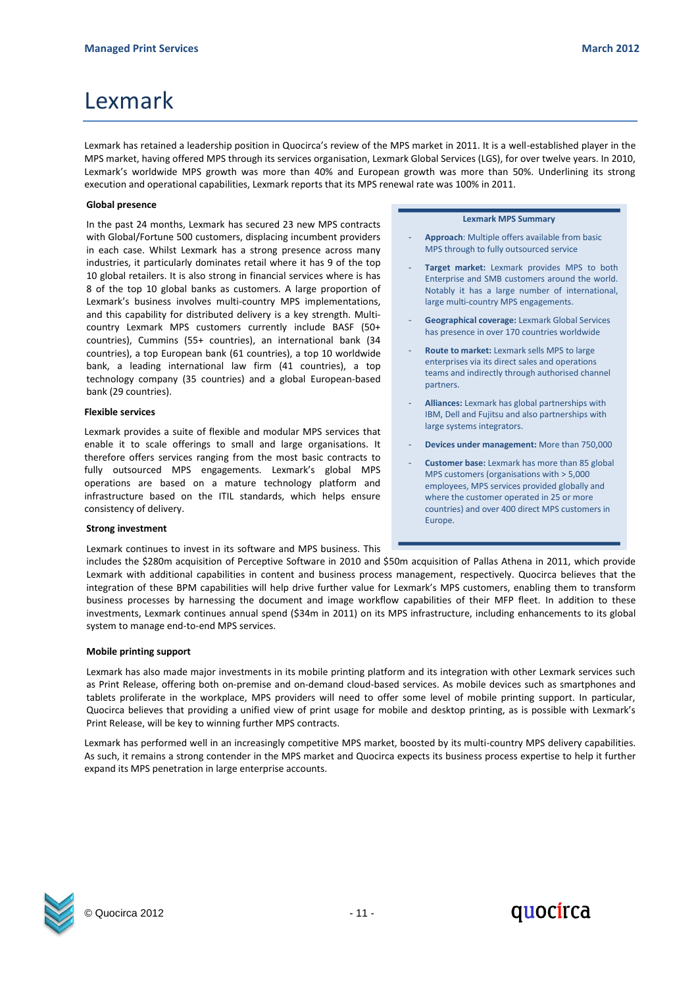Lexmark has retained a leadership position in Quocirca's review of the MPS market in 2011. It is a well-established player in the MPS market, having offered MPS through its services organisation, Lexmark Global Services (LGS), for over twelve years. In 2010, Lexmark's worldwide MPS growth was more than 40% and European growth was more than 50%. Underlining its strong execution and operational capabilities, Lexmark reports that its MPS renewal rate was 100% in 2011.

### **Global presence**

In the past 24 months, Lexmark has secured 23 new MPS contracts with Global/Fortune 500 customers, displacing incumbent providers in each case. Whilst Lexmark has a strong presence across many industries, it particularly dominates retail where it has 9 of the top 10 global retailers. It is also strong in financial services where is has 8 of the top 10 global banks as customers. A large proportion of Lexmark's business involves multi-country MPS implementations, and this capability for distributed delivery is a key strength. Multicountry Lexmark MPS customers currently include BASF (50+ countries), Cummins (55+ countries), an international bank (34 countries), a top European bank (61 countries), a top 10 worldwide bank, a leading international law firm (41 countries), a top technology company (35 countries) and a global European-based bank (29 countries).

#### **Flexible services**

Lexmark provides a suite of flexible and modular MPS services that enable it to scale offerings to small and large organisations. It therefore offers services ranging from the most basic contracts to fully outsourced MPS engagements. Lexmark's global MPS operations are based on a mature technology platform and infrastructure based on the ITIL standards, which helps ensure consistency of delivery.

### **Strong investment**

Lexmark continues to invest in its software and MPS business. This

#### **Lexmark MPS Summary**

- Approach: Multiple offers available from basic MPS through to fully outsourced service
- Target market: Lexmark provides MPS to both Enterprise and SMB customers around the world. Notably it has a large number of international, large multi-country MPS engagements.
- Geographical coverage: Lexmark Global Services has presence in over 170 countries worldwide
- **Route to market:** Lexmark sells MPS to large enterprises via its direct sales and operations teams and indirectly through authorised channel partners.
- **Alliances:** Lexmark has global partnerships with IBM, Dell and Fujitsu and also partnerships with large systems integrators.
- **Devices under management:** More than 750,000
- Customer base: Lexmark has more than 85 global MPS customers (organisations with > 5,000 employees, MPS services provided globally and where the customer operated in 25 or more countries) and over 400 direct MPS customers in Europe.

includes the \$280m acquisition of Perceptive Software in 2010 and \$50m acquisition of Pallas Athena in 2011, which provide Lexmark with additional capabilities in content and business process management, respectively. Quocirca believes that the integration of these BPM capabilities will help drive further value for Lexmark's MPS customers, enabling them to transform business processes by harnessing the document and image workflow capabilities of their MFP fleet. In addition to these investments, Lexmark continues annual spend (\$34m in 2011) on its MPS infrastructure, including enhancements to its global system to manage end-to-end MPS services.

### **Mobile printing support**

Lexmark has also made major investments in its mobile printing platform and its integration with other Lexmark services such as Print Release, offering both on-premise and on-demand cloud-based services. As mobile devices such as smartphones and tablets proliferate in the workplace, MPS providers will need to offer some level of mobile printing support. In particular, Quocirca believes that providing a unified view of print usage for mobile and desktop printing, as is possible with Lexmark's Print Release, will be key to winning further MPS contracts.

Lexmark has performed well in an increasingly competitive MPS market, boosted by its multi-country MPS delivery capabilities. As such, it remains a strong contender in the MPS market and Quocirca expects its business process expertise to help it further expand its MPS penetration in large enterprise accounts.





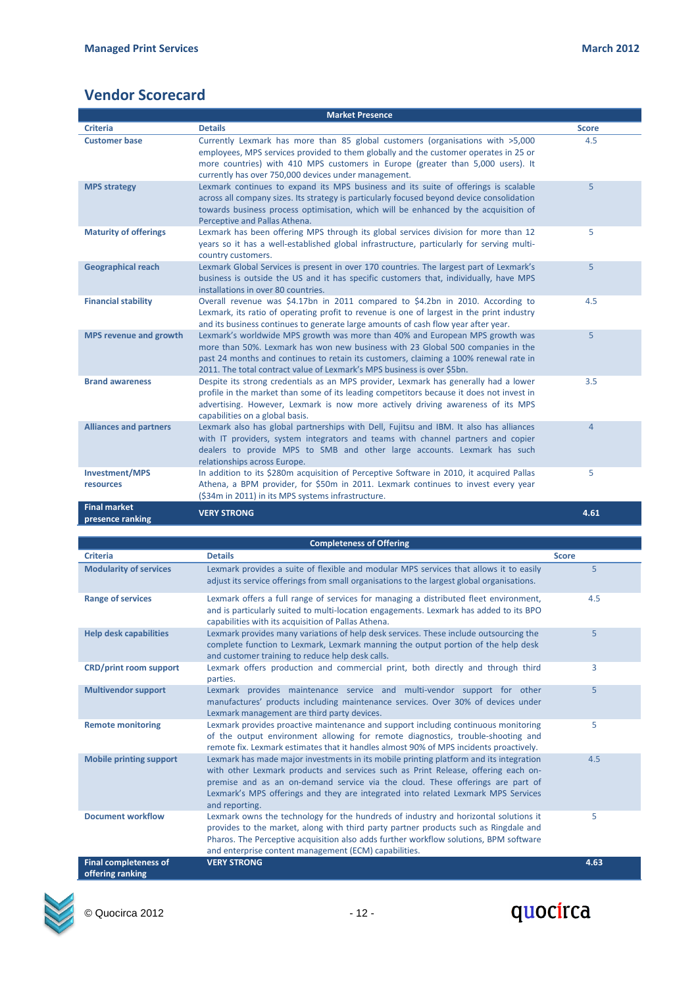### **Vendor Scorecard**

| <b>Market Presence</b>                  |                                                                                                                                                                                                                                                                                                                                     |                |  |  |  |  |
|-----------------------------------------|-------------------------------------------------------------------------------------------------------------------------------------------------------------------------------------------------------------------------------------------------------------------------------------------------------------------------------------|----------------|--|--|--|--|
| <b>Criteria</b>                         | <b>Details</b>                                                                                                                                                                                                                                                                                                                      | <b>Score</b>   |  |  |  |  |
| <b>Customer base</b>                    | Currently Lexmark has more than 85 global customers (organisations with >5,000<br>employees, MPS services provided to them globally and the customer operates in 25 or<br>more countries) with 410 MPS customers in Europe (greater than 5,000 users). It<br>currently has over 750,000 devices under management.                   | 4.5            |  |  |  |  |
| <b>MPS strategy</b>                     | Lexmark continues to expand its MPS business and its suite of offerings is scalable<br>across all company sizes. Its strategy is particularly focused beyond device consolidation<br>towards business process optimisation, which will be enhanced by the acquisition of<br>Perceptive and Pallas Athena.                           | 5              |  |  |  |  |
| <b>Maturity of offerings</b>            | Lexmark has been offering MPS through its global services division for more than 12<br>years so it has a well-established global infrastructure, particularly for serving multi-<br>country customers.                                                                                                                              | 5              |  |  |  |  |
| <b>Geographical reach</b>               | Lexmark Global Services is present in over 170 countries. The largest part of Lexmark's<br>business is outside the US and it has specific customers that, individually, have MPS<br>installations in over 80 countries.                                                                                                             | 5              |  |  |  |  |
| <b>Financial stability</b>              | Overall revenue was \$4.17bn in 2011 compared to \$4.2bn in 2010. According to<br>Lexmark, its ratio of operating profit to revenue is one of largest in the print industry<br>and its business continues to generate large amounts of cash flow year after year.                                                                   | 4.5            |  |  |  |  |
| <b>MPS revenue and growth</b>           | Lexmark's worldwide MPS growth was more than 40% and European MPS growth was<br>more than 50%. Lexmark has won new business with 23 Global 500 companies in the<br>past 24 months and continues to retain its customers, claiming a 100% renewal rate in<br>2011. The total contract value of Lexmark's MPS business is over \$5bn. | 5              |  |  |  |  |
| <b>Brand awareness</b>                  | Despite its strong credentials as an MPS provider, Lexmark has generally had a lower<br>profile in the market than some of its leading competitors because it does not invest in<br>advertising. However, Lexmark is now more actively driving awareness of its MPS<br>capabilities on a global basis.                              | 3.5            |  |  |  |  |
| <b>Alliances and partners</b>           | Lexmark also has global partnerships with Dell, Fujitsu and IBM. It also has alliances<br>with IT providers, system integrators and teams with channel partners and copier<br>dealers to provide MPS to SMB and other large accounts. Lexmark has such<br>relationships across Europe.                                              | $\overline{4}$ |  |  |  |  |
| <b>Investment/MPS</b><br>resources      | In addition to its \$280m acquisition of Perceptive Software in 2010, it acquired Pallas<br>Athena, a BPM provider, for \$50m in 2011. Lexmark continues to invest every year<br>(\$34m in 2011) in its MPS systems infrastructure.                                                                                                 | 5              |  |  |  |  |
| <b>Final market</b><br>presence ranking | <b>VERY STRONG</b>                                                                                                                                                                                                                                                                                                                  | 4.61           |  |  |  |  |

| <b>Completeness of Offering</b>                  |                                                                                                                                                                                                                                                                                                                                                                      |              |  |  |  |  |
|--------------------------------------------------|----------------------------------------------------------------------------------------------------------------------------------------------------------------------------------------------------------------------------------------------------------------------------------------------------------------------------------------------------------------------|--------------|--|--|--|--|
| <b>Criteria</b>                                  | <b>Details</b>                                                                                                                                                                                                                                                                                                                                                       | <b>Score</b> |  |  |  |  |
| <b>Modularity of services</b>                    | Lexmark provides a suite of flexible and modular MPS services that allows it to easily<br>adjust its service offerings from small organisations to the largest global organisations.                                                                                                                                                                                 | 5            |  |  |  |  |
| <b>Range of services</b>                         | Lexmark offers a full range of services for managing a distributed fleet environment,<br>and is particularly suited to multi-location engagements. Lexmark has added to its BPO<br>capabilities with its acquisition of Pallas Athena.                                                                                                                               | 4.5          |  |  |  |  |
| <b>Help desk capabilities</b>                    | Lexmark provides many variations of help desk services. These include outsourcing the<br>complete function to Lexmark, Lexmark manning the output portion of the help desk<br>and customer training to reduce help desk calls.                                                                                                                                       | 5            |  |  |  |  |
| <b>CRD/print room support</b>                    | Lexmark offers production and commercial print, both directly and through third<br>parties.                                                                                                                                                                                                                                                                          | 3            |  |  |  |  |
| <b>Multivendor support</b>                       | Lexmark provides maintenance service and multi-vendor support for other<br>manufactures' products including maintenance services. Over 30% of devices under<br>Lexmark management are third party devices.                                                                                                                                                           | 5            |  |  |  |  |
| <b>Remote monitoring</b>                         | Lexmark provides proactive maintenance and support including continuous monitoring<br>of the output environment allowing for remote diagnostics, trouble-shooting and<br>remote fix. Lexmark estimates that it handles almost 90% of MPS incidents proactively.                                                                                                      | 5            |  |  |  |  |
| <b>Mobile printing support</b>                   | Lexmark has made major investments in its mobile printing platform and its integration<br>with other Lexmark products and services such as Print Release, offering each on-<br>premise and as an on-demand service via the cloud. These offerings are part of<br>Lexmark's MPS offerings and they are integrated into related Lexmark MPS Services<br>and reporting. | 4.5          |  |  |  |  |
| <b>Document workflow</b>                         | Lexmark owns the technology for the hundreds of industry and horizontal solutions it<br>provides to the market, along with third party partner products such as Ringdale and<br>Pharos. The Perceptive acquisition also adds further workflow solutions, BPM software<br>and enterprise content management (ECM) capabilities.                                       | 5            |  |  |  |  |
| <b>Final completeness of</b><br>offering ranking | <b>VERY STRONG</b>                                                                                                                                                                                                                                                                                                                                                   | 4.63         |  |  |  |  |